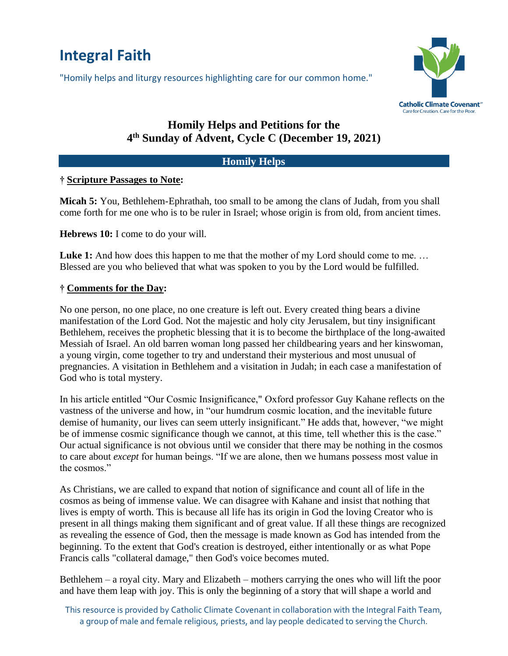# **Integral Faith**

"Homily helps and liturgy resources highlighting care for our common home."



## **Homily Helps and Petitions for the 4 th Sunday of Advent, Cycle C (December 19, 2021)**

#### **Homily Helps**

### **† Scripture Passages to Note:**

**Micah 5:** You, Bethlehem-Ephrathah, too small to be among the clans of Judah, from you shall come forth for me one who is to be ruler in Israel; whose origin is from old, from ancient times.

**Hebrews 10:** I come to do your will.

**Luke 1:** And how does this happen to me that the mother of my Lord should come to me... Blessed are you who believed that what was spoken to you by the Lord would be fulfilled.

### **† Comments for the Day:**

No one person, no one place, no one creature is left out. Every created thing bears a divine manifestation of the Lord God. Not the majestic and holy city Jerusalem, but tiny insignificant Bethlehem, receives the prophetic blessing that it is to become the birthplace of the long-awaited Messiah of Israel. An old barren woman long passed her childbearing years and her kinswoman, a young virgin, come together to try and understand their mysterious and most unusual of pregnancies. A visitation in Bethlehem and a visitation in Judah; in each case a manifestation of God who is total mystery.

In his article entitled "Our Cosmic Insignificance," Oxford professor Guy Kahane reflects on the vastness of the universe and how, in "our humdrum cosmic location, and the inevitable future demise of humanity, our lives can seem utterly insignificant." He adds that, however, "we might be of immense cosmic significance though we cannot, at this time, tell whether this is the case." Our actual significance is not obvious until we consider that there may be nothing in the cosmos to care about *except* for human beings. "If we are alone, then we humans possess most value in the cosmos."

As Christians, we are called to expand that notion of significance and count all of life in the cosmos as being of immense value. We can disagree with Kahane and insist that nothing that lives is empty of worth. This is because all life has its origin in God the loving Creator who is present in all things making them significant and of great value. If all these things are recognized as revealing the essence of God, then the message is made known as God has intended from the beginning. To the extent that God's creation is destroyed, either intentionally or as what Pope Francis calls "collateral damage," then God's voice becomes muted.

Bethlehem – a royal city. Mary and Elizabeth – mothers carrying the ones who will lift the poor and have them leap with joy. This is only the beginning of a story that will shape a world and

This resource is provided by Catholic Climate Covenant in collaboration with the Integral Faith Team, a group of male and female religious, priests, and lay people dedicated to serving the Church.